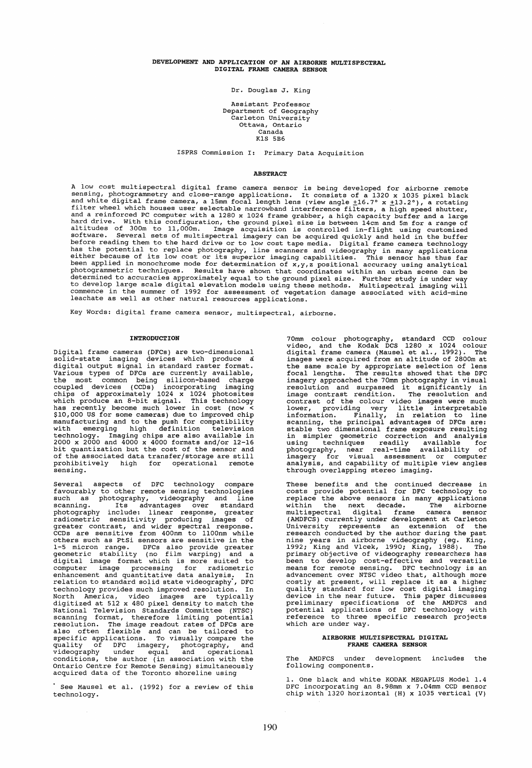# DEVELOPMENT AND APPLICATION OF AN AIRBORNE MULTISPECTRAL DIGITAL FRAME CAMERA SENSOR

Dr. Douglas J. King

Assistant Professor Department of Geography .<br>Carleton University Ottawa, Ontario Canada K1S 5B6

ISPRS Commission I: Primary Data Acquisition

### **ABSTRACT**

A low cost multispectral digital frame camera sensor is being developed for airborne remote<br>sensing, photogrammetry and close-range applications. It consists of a 1320 x 1035 pixel black<br>and white digital frame camera, a

Key Words: digital frame camera sensor, multispectral, airborne.

## INTRODUCTION

Digital frame cameras (DFCs) are two-dimensional solid-state imaging devices which produce a digital output signal in standard raster format. Various types of DFCs are currently available, the most common being silicon-based charge<br>coupled devices (CCDs) incorporating imaging<br>chips of approximately 1024 x 1024 photosites<br>which produce an 8-bit signal. This technology<br>has recently become much lower in cost (n was an anti-comparison of the push for compatibility<br>with emerging high definition television<br>technology. Imaging chips are also available in<br>2000 x 2000 and 4000 x 4000 formats and/or 12-16<br>bit quantization but the cost o of the associated data transfer/storage are still prohibitively high for operational remote sensing.

Several aspects of DFC technology compare favourably to other remote sensing technologies such as photography, videography and line<br>scanning. Its advantages over standard<br>photography include: linear response, greater<br>radiometric sensitivity producing images of<br>greater contrast, and wider spectral response.<br>CCDs 1-5 micron range. DFCs also provide greater<br>geometric stability (no film warping) and a<br>digital image format which is more suited to<br>computer image processing for radiometric<br>enhancement and quantitative data analysis. In<br> technology provides much improved resolution. In<br>North America, video images are typically<br>digitized at 512 x 480 pixel density to match the<br>National Television Standards Committee (NTSC)<br>scanning format, therefore limitin

See Mausel et al. (1992) for a review of this technology.

70mm colour photography, standard CCD colour<br>video, and the Kodak DCS 1280 x 1024 colour<br>digital frame camera (Mausel et al., 1992). The<br>images were acquired from an altitude of 2800m at the same scale by appropriate selection of lens<br>focal lengths. The results showed that the DFC<br>imagery approached the 70mm photography in visual<br>resolution and surpassed it significantly in<br>image contrast rendition. The re stable two dimensional frame exposure resulting<br>in simpler geometric correction and analysis<br>using techniques readily available for<br>photography, near real-time availability of<br>imagery for visual assessment or computer<br>anal through overlapping stereo imaging.

These benefits and the continued decrease in costs provide potential for DFC technology to replace the above sensors in many applications<br>within the next decade. The airborne<br>within the next decade. The airborne<br>multispectral digital frame camera sensor<br>(AMDFCS) currently under development at Carleton<br>University Seem concerned to the means for remote sensing. DFC technology is an advancement over NTSC video that, although more costly at present, will replace it as a higher quality standard for low cost digital imaging device in th which are under way.

### AIRBORNE MULTISPECTRAL DIGITAL FRAME CAMERA SENSOR

The AMDFCS under development includes the following components.

1. One black and white KODAK MEGAPLUS Model 1.4<br>DFC incorporating an 8.98mm x 7.04mm CCD sensor<br>chip with 1320 horizontal (H) x 1035 vertical (V)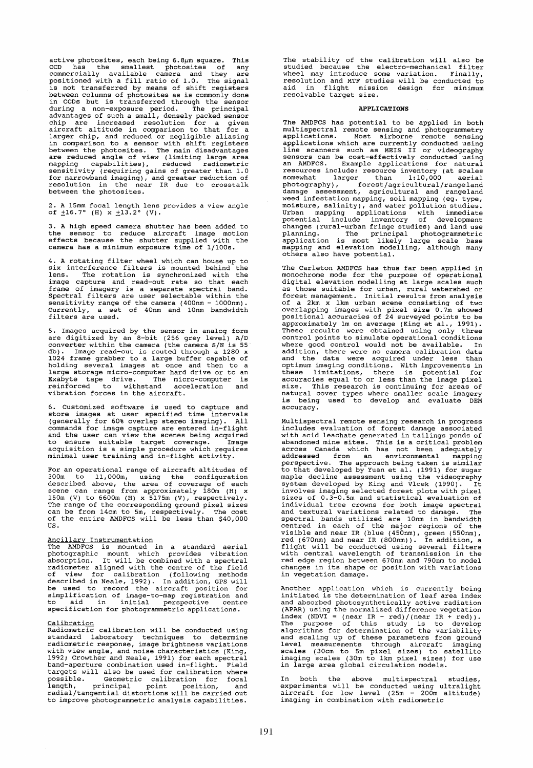active photosites, each being  $6.8~\mu$ m square. This CCD has the smallest photosites of any commercially available camera and they are positioned with a fill ratio of 1.0. The signal is not transferred by means of shift registers between columns of photosites as is commonly done source of the sensor of the sensor of the sensor<br>in CCDs but is transferred through the sensor<br>during a non-exposure period. The principal<br>advantages of such a small, densely packed sensor<br>chip are increased resolution for in comparison to a sensor with shift registers between the photosites. The main disadvantages are reduced angle of view (limiting large area mapping capabilities), reduced radiometrie sensitivity (requiring gains of greater than 1.0 for narrowband imaging), and greater reduction of resolution in the near IR due to crosstalk between the photosites.

2. A 15mm focal length lens provides a view angle of  $\pm 16.7^\circ$  (H)  $x \pm 13.2^\circ$  (V).

3. A high speed camera shutter has been added to the sensor to reduce aircraft image motion effeets because the shutter supplied with the camera has a minimum exposure time of 1/100s.

4. A rotating filter wheel which can house up to<br>six interference filters is mounted behind the<br>lens. The rotation is synchronized with the image capture and read-out rate so that each frame of imagery is aseparate spectral band. Spectral filters are user selectable within the sensitivity range of the camera (400nm - 1000nm). Currently, a set of 40nm and 10nm bandwidth filters are used.

5. Images acquired by the sensor in analog form<br>are digitized by an 8-bit (256 grey level) A/D<br>converter within the camera (the camera S/N is 55<br>db). Image read-out is routed through a 1280 x<br>1024 frame grabber to a large

6. Customized software is used to capture and store images at user specified time intervals (generally for 60% overlap stereo imaging). All eommands for image capture are entered in-flight and the user can view the scenes being acquired<br>to ensure suitable target coverage. Image<br>acquisition is a simple procedure which requires<br>minimal user training and in-flight activity.

For an operational range of aireraft altitudes of 300m to 11,000m, using the eonfiguration described above, the area of coverage of each<br>scene can range from approximately 180m (H) x 150m (V) to 6600m (H) x 5175m (V), respectively. The range of the corresponding ground pixel sizes ean be from 14em to 5m, respeetively. The eost of the entire AMDFCS will be less than \$40,000 US.

Aneillary Instrumentation The AMDFCS is mounted in a standard aerial<br>photographic mount which provides vibration<br>absorption. It will be combined with a spectral<br>radiometer aligned with the centre of the field<br>of view for calibration (following meth

Ca<u>libration</u><br>Radiometric calibration will be conducted using standard laboratory techniques to determine radiometrie response, image brightness variations with view angle, and noise characteristics (King, 1992; Crowther and Neale, 1991) for each spectral band-aperture eombination used in-flight. Field targets will also be used for calibration where<br>possible. Geometric calibration for focal possible. Geometric calibration for focal<br>length, principal point position, and<br>radial/tangential distortions will be carried out to improve photogrammetrie analysis eapabilities.

The stability of the ealibration will also be nte studied because the electro-mechanical filter<br>wheel may introduce some variation. Finally,<br>resolution and MTF studies will be conducted to<br>aid in flight mission design for minimum<br>resolvable target size.

### APPLICATIONS

The AMDFCS has potential to be applied in both multispectral remote sensing and photogrammetry applications. Most airborne remote sensing applications which are currently conducted using Line scanners such as MEIS II or videography<br>sensors can be cost-effectively conducted using<br>ensors can be cost-effectively conducted using resources include: resource inventory (at scales somewhat larger than 1:10,000 aerial photography), forest/agricultural/rangeland<br>damage assessment, agricultural (rangeland<br>damage assessment, agricultural and rangeland<br>weed infestation mapping, soil mapping (eg. type,<br>moisture, salinity), and water pollutio planning. The principal photogrammetric application is most likely large scale base mapping and elevation modelling, although many others also have potential.

The Carleton AMDFCS has thus far been applied in monochrome mode for the purpose of operational digital elevation modelling at large scales such as those suitable for urban, rural watershed or forest management. Initial results from analysis of a 2km x lkm urban scene consisting of two overlapping images with pixel size O. 7m showed positional accuracies of 24 surveyed points to be approximately 1m on average (King et al., 1991). These results were obtained using only three control points to simulate operational conditions where good control would not be available. In<br>addition, there were no camera calibration data<br>and the data were acquired under less than<br>optimum imaging conditions. With improvements in<br>these limitations, there is potentia size. This research is eontinuing for areas of natural cover types where smaller scale imagery is being used to develop and evaluate DEM aecuracy.

Multispeetral remote sensing research in progress includes evaluation of forest damage associated with acid leachate generated in tailings ponds of when detail and the sites. This is a critical problem<br>abandoned mine sites. This is a critical problem<br>across Canada which has not been adequately<br>addressed from an environmental mapping<br>perspective. The approach being tak maple decline assessment using the videography system developed by King and Vlcek (1990). It involves imaging selected forest plots with pixel sizes of 0.3-0.5m and statistical evaluation of individual tree crowns for both image speetral and textural variations related to damage. The spectral bands utilized are 10nm in bandwidth<br>centred in each of the major regions of the<br>visible and near IR (blue (450nm), green (550nm), red (670nm) and near IR (800nm». In addition, a flight will be conducted using several filters with central wavelength of transmission in the red edge region between 670nm and 790nm to model changes in its shape or position with variations in vegetation damage.

Another application which is currently being initiated is the determination of leaf area index and absorbed photosynthetically active radiation (APAR) using the normalized differenee vegetation index (NDVI = (near IR - red)/(near IR + red)).<br>The purpose of this study is to develop<br>algorithms for determination of the variability<br>and scaling up of these parameters from ground level measurements through aircraft imaging scales (30cm to 5m pixel sizes) to satellite imaging scales (30m to lkm pixel sizes) for use in large area global circulation models.

In both the above multispectral studies, experiments will be conducted using ultralight aircraft for low level (25m - 200m altitude) imaging in combination with radiometrie